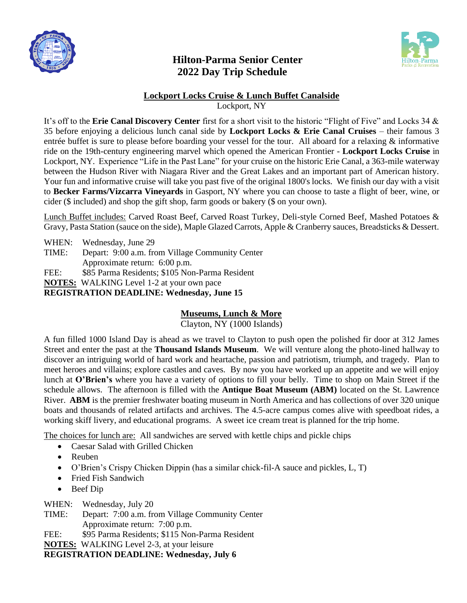

## **Hilton-Parma Senior Center 2022 Day Trip Schedule**



## **Lockport Locks Cruise & Lunch Buffet Canalside**

Lockport, NY

It's off to the **Erie Canal Discovery Center** first for a short visit to the historic "Flight of Five" and Locks 34 & 35 before enjoying a delicious lunch canal side by **Lockport Locks & Erie Canal Cruises** – their famous 3 entrée buffet is sure to please before boarding your vessel for the tour. All aboard for a relaxing & informative ride on the 19th-century engineering marvel which opened the American Frontier - **Lockport Locks Cruise** in Lockport, NY. Experience "Life in the Past Lane" for your cruise on the historic Erie Canal, a 363-mile waterway between the Hudson River with Niagara River and the Great Lakes and an important part of American history. Your fun and informative cruise will take you past five of the original 1800's locks. We finish our day with a visit to **Becker Farms/Vizcarra Vineyards** in Gasport, NY where you can choose to taste a flight of beer, wine, or cider (\$ included) and shop the gift shop, farm goods or bakery (\$ on your own).

Lunch Buffet includes: Carved Roast Beef, Carved Roast Turkey, Deli-style Corned Beef, Mashed Potatoes & Gravy, Pasta Station (sauce on the side), Maple Glazed Carrots, Apple & Cranberry sauces, Breadsticks & Dessert.

WHEN: Wednesday, June 29

TIME: Depart: 9:00 a.m. from Village Community Center

Approximate return: 6:00 p.m.

FEE: \$85 Parma Residents; \$105 Non-Parma Resident

**NOTES:** WALKING Level 1-2 at your own pace

**REGISTRATION DEADLINE: Wednesday, June 15**

## **Museums, Lunch & More**

Clayton, NY (1000 Islands)

A fun filled 1000 Island Day is ahead as we travel to Clayton to push open the polished fir door at 312 James Street and enter the past at the **Thousand Islands Museum**. We will venture along the photo-lined hallway to discover an intriguing world of hard work and heartache, passion and patriotism, triumph, and tragedy. Plan to meet heroes and villains; explore castles and caves. By now you have worked up an appetite and we will enjoy lunch at **O'Brien's** where you have a variety of options to fill your belly. Time to shop on Main Street if the schedule allows. The afternoon is filled with the **Antique Boat Museum (ABM)** located on the St. Lawrence River. **ABM** is the premier freshwater boating museum in North America and has collections of over 320 unique boats and thousands of related artifacts and archives. The 4.5-acre campus comes alive with speedboat rides, a working skiff livery, and educational programs. A sweet ice cream treat is planned for the trip home.

The choices for lunch are: All sandwiches are served with kettle chips and pickle chips

- Caesar Salad with Grilled Chicken
- Reuben
- O'Brien's Crispy Chicken Dippin (has a similar chick-fil-A sauce and pickles, L, T)
- Fried Fish Sandwich
- Beef Dip

WHEN: Wednesday, July 20

TIME: Depart: 7:00 a.m. from Village Community Center Approximate return: 7:00 p.m.

FEE: \$95 Parma Residents; \$115 Non-Parma Resident

**NOTES:** WALKING Level 2-3, at your leisure

**REGISTRATION DEADLINE: Wednesday, July 6**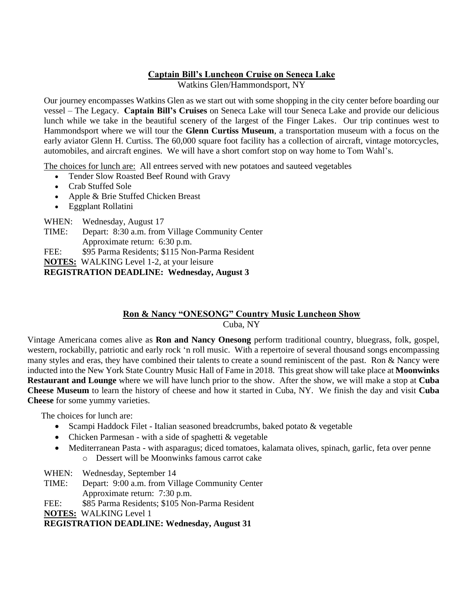### **Captain Bill's Luncheon Cruise on Seneca Lake**

Watkins Glen/Hammondsport, NY

Our journey encompasses Watkins Glen as we start out with some shopping in the city center before boarding our vessel – The Legacy. **Captain Bill's Cruises** on Seneca Lake will tour Seneca Lake and provide our delicious lunch while we take in the beautiful scenery of the largest of the Finger Lakes. Our trip continues west to Hammondsport where we will tour the **Glenn Curtiss Museum**, a transportation museum with a focus on the early aviator Glenn H. Curtiss. The 60,000 square foot facility has a collection of aircraft, vintage motorcycles, automobiles, and aircraft engines. We will have a short comfort stop on way home to Tom Wahl's.

The choices for lunch are: All entrees served with new potatoes and sauteed vegetables

- Tender Slow Roasted Beef Round with Gravy
- Crab Stuffed Sole
- Apple & Brie Stuffed Chicken Breast
- Eggplant Rollatini

WHEN: Wednesday, August 17

TIME: Depart: 8:30 a.m. from Village Community Center Approximate return: 6:30 p.m.

FEE: \$95 Parma Residents; \$115 Non-Parma Resident

**NOTES:** WALKING Level 1-2, at your leisure

**REGISTRATION DEADLINE: Wednesday, August 3**

# **Ron & Nancy "ONESONG" Country Music Luncheon Show**

Cuba, NY

Vintage Americana comes alive as **Ron and Nancy Onesong** perform traditional country, bluegrass, folk, gospel, western, rockabilly, patriotic and early rock 'n roll music. With a repertoire of several thousand songs encompassing many styles and eras, they have combined their talents to create a sound reminiscent of the past. Ron & Nancy were inducted into the New York State Country Music Hall of Fame in 2018. This great show will take place at **Moonwinks Restaurant and Lounge** where we will have lunch prior to the show. After the show, we will make a stop at **Cuba Cheese Museum** to learn the history of cheese and how it started in Cuba, NY. We finish the day and visit **Cuba Cheese** for some yummy varieties. ľ

The choices for lunch are:

- Scampi Haddock Filet Italian seasoned breadcrumbs, baked potato & vegetable
- Chicken Parmesan with a side of spaghetti & vegetable
- Mediterranean Pasta with asparagus; diced tomatoes, kalamata olives, spinach, garlic, feta over penne o Dessert will be Moonwinks famous carrot cake

WHEN: Wednesday, September 14

TIME: Depart: 9:00 a.m. from Village Community Center Approximate return: 7:30 p.m.

FEE: \$85 Parma Residents; \$105 Non-Parma Resident

**NOTES:** WALKING Level 1

**REGISTRATION DEADLINE: Wednesday, August 31**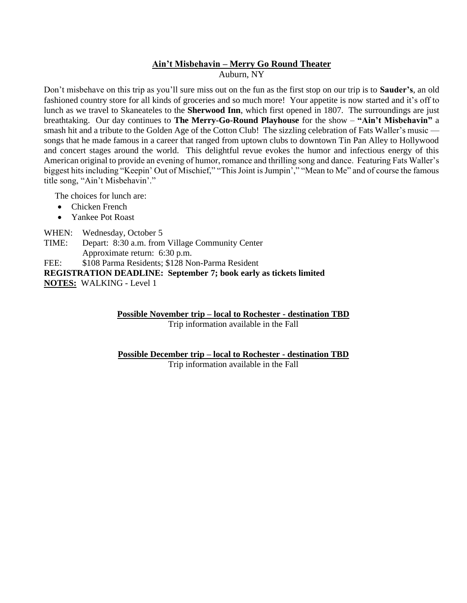#### **Ain't Misbehavin – Merry Go Round Theater** Auburn, NY

Don't misbehave on this trip as you'll sure miss out on the fun as the first stop on our trip is to **Sauder's**, an old fashioned country store for all kinds of groceries and so much more! Your appetite is now started and it's off to lunch as we travel to Skaneateles to the **Sherwood Inn**, which first opened in 1807. The surroundings are just breathtaking. Our day continues to **The Merry-Go-Round Playhouse** for the show – **"Ain't Misbehavin"** a smash hit and a tribute to the Golden Age of the Cotton Club! The sizzling celebration of Fats Waller's music songs that he made famous in a career that ranged from uptown clubs to downtown Tin Pan Alley to Hollywood and concert stages around the world. This delightful revue evokes the humor and infectious energy of this American original to provide an evening of humor, romance and thrilling song and dance. Featuring Fats Waller's biggest hits including "Keepin' Out of Mischief," "This Joint is Jumpin'," "Mean to Me" and of course the famous title song, "Ain't Misbehavin'."

The choices for lunch are:

- Chicken French
- Yankee Pot Roast

WHEN: Wednesday, October 5

TIME: Depart: 8:30 a.m. from Village Community Center Approximate return: 6:30 p.m.

FEE: \$108 Parma Residents; \$128 Non-Parma Resident

**REGISTRATION DEADLINE: September 7; book early as tickets limited**

**NOTES:** WALKING - Level 1

**Possible November trip – local to Rochester - destination TBD** Trip information available in the Fall

**Possible December trip – local to Rochester - destination TBD**

Trip information available in the Fall